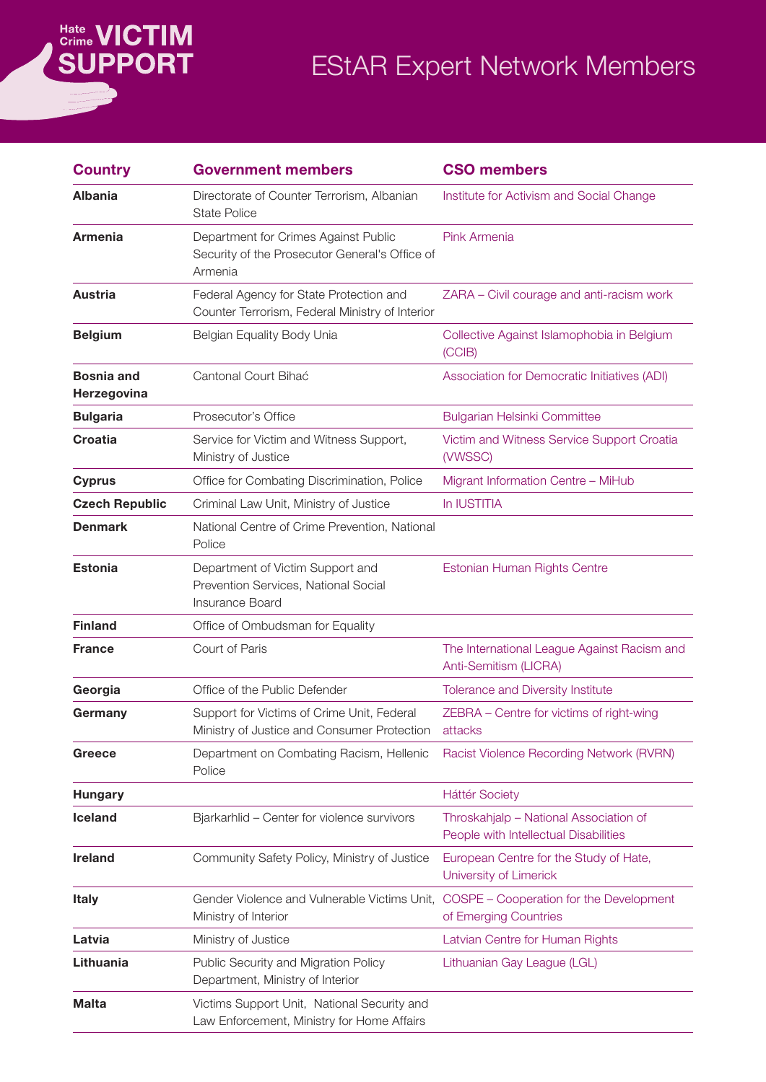# *<u>Bate</u>*<br>SUPPORT

## EStAR Expert Network Members

| <b>Country</b>                   | <b>Government members</b>                                                                         | <b>CSO members</b>                                                              |
|----------------------------------|---------------------------------------------------------------------------------------------------|---------------------------------------------------------------------------------|
| <b>Albania</b>                   | Directorate of Counter Terrorism, Albanian<br><b>State Police</b>                                 | Institute for Activism and Social Change                                        |
| <b>Armenia</b>                   | Department for Crimes Against Public<br>Security of the Prosecutor General's Office of<br>Armenia | Pink Armenia                                                                    |
| <b>Austria</b>                   | Federal Agency for State Protection and<br>Counter Terrorism, Federal Ministry of Interior        | ZARA - Civil courage and anti-racism work                                       |
| <b>Belgium</b>                   | Belgian Equality Body Unia                                                                        | Collective Against Islamophobia in Belgium<br>(CCIB)                            |
| <b>Bosnia and</b><br>Herzegovina | Cantonal Court Bihać                                                                              | Association for Democratic Initiatives (ADI)                                    |
| <b>Bulgaria</b>                  | Prosecutor's Office                                                                               | <b>Bulgarian Helsinki Committee</b>                                             |
| <b>Croatia</b>                   | Service for Victim and Witness Support,<br>Ministry of Justice                                    | Victim and Witness Service Support Croatia<br>(VWSSC)                           |
| <b>Cyprus</b>                    | Office for Combating Discrimination, Police                                                       | Migrant Information Centre - MiHub                                              |
| <b>Czech Republic</b>            | Criminal Law Unit, Ministry of Justice                                                            | In IUSTITIA                                                                     |
| <b>Denmark</b>                   | National Centre of Crime Prevention, National<br>Police                                           |                                                                                 |
| <b>Estonia</b>                   | Department of Victim Support and<br>Prevention Services, National Social<br>Insurance Board       | Estonian Human Rights Centre                                                    |
| <b>Finland</b>                   | Office of Ombudsman for Equality                                                                  |                                                                                 |
| <b>France</b>                    | Court of Paris                                                                                    | The International League Against Racism and<br>Anti-Semitism (LICRA)            |
| Georgia                          | Office of the Public Defender                                                                     | Tolerance and Diversity Institute                                               |
| Germany                          | Support for Victims of Crime Unit, Federal<br>Ministry of Justice and Consumer Protection         | ZEBRA - Centre for victims of right-wing<br>attacks                             |
| Greece                           | Department on Combating Racism, Hellenic<br>Police                                                | Racist Violence Recording Network (RVRN)                                        |
| <b>Hungary</b>                   |                                                                                                   | <b>Háttér Society</b>                                                           |
| <b>Iceland</b>                   | Bjarkarhlid - Center for violence survivors                                                       | Throskahjalp - National Association of<br>People with Intellectual Disabilities |
| <b>Ireland</b>                   | Community Safety Policy, Ministry of Justice                                                      | European Centre for the Study of Hate,<br>University of Limerick                |
| <b>Italy</b>                     | Gender Violence and Vulnerable Victims Unit,<br>Ministry of Interior                              | COSPE - Cooperation for the Development<br>of Emerging Countries                |
| Latvia                           | Ministry of Justice                                                                               | Latvian Centre for Human Rights                                                 |
| Lithuania                        | Public Security and Migration Policy<br>Department, Ministry of Interior                          | Lithuanian Gay League (LGL)                                                     |
| <b>Malta</b>                     | Victims Support Unit, National Security and<br>Law Enforcement, Ministry for Home Affairs         |                                                                                 |